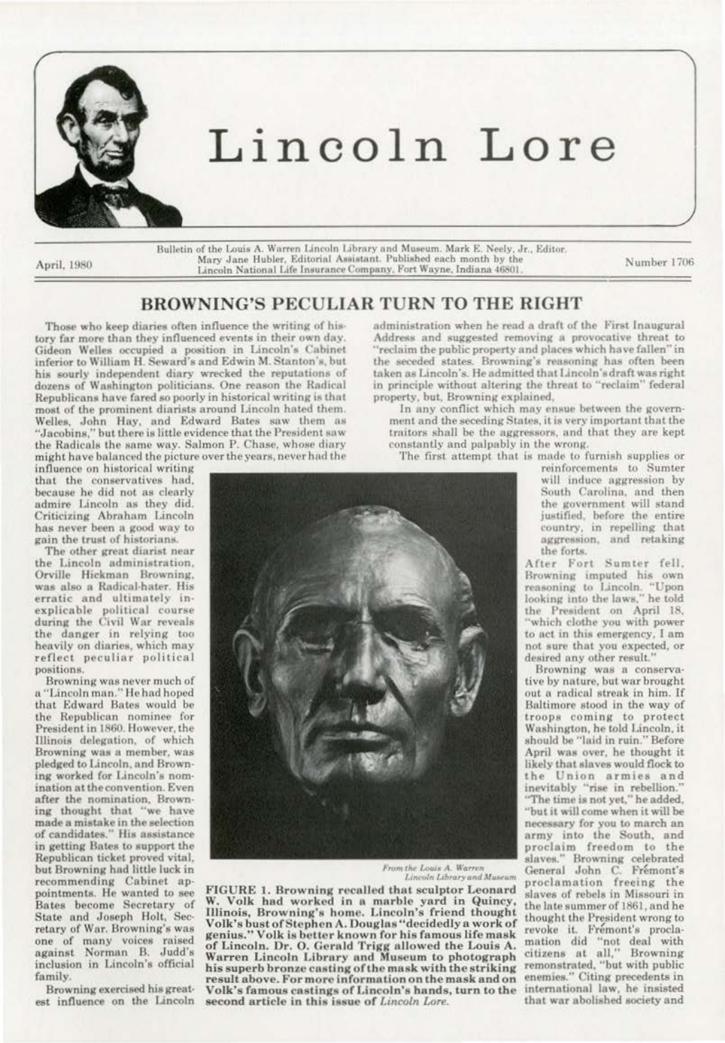

## Lincoln Lore

April, 1980

Bulletin of the Louis A. Warren Lincoln Library and Museum. Mark E. Neely, Jr., Editor.<br>Mary Jane Hubler, Editorial Assistant. Published each month by the<br>Lincoln National Life Insurance Company, Fort Wayne, Indiana 46801.

Number 1706

## **BROWNING'S PECULIAR TURN TO THE RIGHT**

Those who keep diaries often influence the writing of history far more than they influenced events in their own day. Gideon Welles occupied a position in Lincoln's Cabinet inferior to William H. Seward's and Edwin M. Stanton's, but his sourly independent diary wrecked the reputations of dozens of Washington politicians. One reason the Radical Republicans have fared so poorly in historical writing is that most of the prominent diarists around Lincoln hated them. Welles, John Hay, and Edward Bates saw them as "Jacobins," but there is little evidence that the President saw the Radicals the same way. Salmon P. Chase, whose diary might have balanced the picture over the years, never had the

influence on historical writing that the conservatives had, because he did not as clearly admire Lincoln as they did. Criticizing Abraham Lincoln has never been a good way to gain the trust of historians.

The other great diarist near the Lincoln administration, Orville Hickman Browning. was also a Radical-hater. His erratic and ultimately inexplicable political course<br>during the Civil War reveals the danger in relying too heavily on diaries, which may reflect peculiar political positions.

Browning was never much of a "Lincoln man." He had hoped that Edward Bates would be the Republican nominee for<br>President in 1860. However, the Illinois delegation, of which Browning was a member, was pledged to Lincoln, and Browning worked for Lincoln's nomination at the convention. Even after the nomination. Browning thought that "we have made a mistake in the selection of candidates." His assistance in getting Bates to support the Republican ticket proved vital, but Browning had little luck in recommending Cabinet appointments. He wanted to see Bates become Secretary of State and Joseph Holt, Secretary of War. Browning's was one of many voices raised against Norman B. Judd's inclusion in Lincoln's official family.

Browning exercised his greatest influence on the Lincoln administration when he read a draft of the First Inaugural Address and suggested removing a provocative threat to 'reclaim the public property and places which have fallen" in the seceded states. Browning's reasoning has often been taken as Lincoln's. He admitted that Lincoln's draft was right in principle without altering the threat to "reclaim" federal property, but, Browning explained,

In any conflict which may ensue between the government and the seceding States, it is very important that the traitors shall be the aggressors, and that they are kept constantly and palpably in the wrong.

The first attempt that is made to furnish supplies or

reinforcements to Sumter will induce aggression by South Carolina, and then the government will stand justified, before the entire<br>country, in repelling that aggression, and retaking the forts.

After Fort Sumter fell, Browning imputed his own reasoning to Lincoln. "Upon<br>looking into the laws," he told the President on April 18, "which clothe you with power to act in this emergency, I am not sure that you expected, or desired any other result."

Browning was a conservative by nature, but war brought out a radical streak in him. If Baltimore stood in the way of troops coming to protect<br>Washington, he told Lincoln, it should be "laid in ruin." Before April was over, he thought it likely that slaves would flock to the Union armies and inevitably "rise in rebellion." "The time is not yet," he added. "but it will come when it will be necessary for you to march an army into the South, and proclaim freedom to the slaves." Browning celebrated General John C. Frémont's<br>proclamation freeing the slaves of rebels in Missouri in the late summer of 1861, and he thought the President wrong to revoke it. Fremont's proclamation did "not deal with citizens at all," Browning<br>remonstrated, "but with public enemies." Citing precedents in international law, he insisted that war abolished society and



From the Louis A. Warren Lincoln Library and Museum

FIGURE 1. Browning recalled that sculptor Leonard<br>W. Volk had worked in a marble yard in Quincy, Illinois, Browning's home. Lincoln's friend thought Volk's bust of Stephen A. Douglas "decidedly a work of<br>genius." Volk is better known for his famous life mask of Lincoln. Dr. O. Gerald Trigg allowed the Louis A. Warren Lincoln Library and Museum to photograph his superb bronze casting of the mask with the striking result above. For more information on the mask and on Volk's famous castings of Lincoln's hands, turn to the second article in this issue of Lincoln Lore.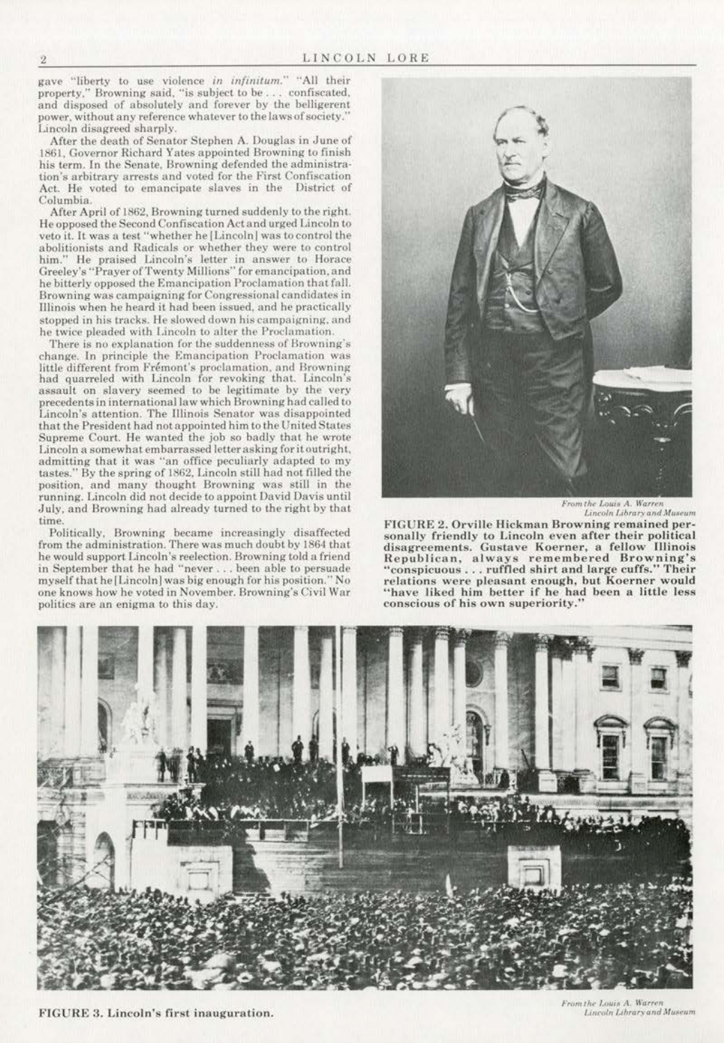gave "liberty to use violence in infinitum." "All their property." Browning said, "is subject to be ... confiscated, and disposed of absolutely and forever by the belligerent power, without any reference whatever to the laws of society.' Lincoln disagreed sharply.

After the death of Senator Stephen A. Douglas in June of 1861, Governor Richard Yates appointed Browning to finish his term. In the Senate, Browning defended the administration's arbitrary arrests and voted for the First Confiscation Act. He voted to emancipate slaves in the District of Columbia.

After April of 1862, Browning turned suddenly to the right. He opposed the Second Confiscation Act and urged Lincoln to veto it. It was a test "whether he [Lincoln] was to control the abolitionists and Radicals or whether they were to control him." He praised Lincoln's letter in answer to Horace Greeley's "Prayer of Twenty Millions" for emancipation, and he bitterly opposed the Emancipation Proclamation that fall. Browning was campaigning for Congressional candidates in Illinois when he heard it had been issued, and he practically stopped in his tracks. He slowed down his campaigning, and he twice pleaded with Lincoln to alter the Proclamation.

There is no explanation for the suddenness of Browning's change. In principle the Emancipation Proclamation was little different from Frémont's proclamation, and Browning had quarreled with Lincoln for revoking that. Lincoln's assault on slavery seemed to be legitimate by the very precedents in international law which Browning had called to Lincoln's attention. The Illinois Senator was disappointed that the President had not appointed him to the United States Supreme Court. He wanted the job so badly that he wrote Lincoln a somewhat embarrassed letter asking for it outright, admitting that it was "an office peculiarly adapted to my tastes." By the spring of 1862, Lincoln still had not filled the position, and many thought Browning was still in the running. Lincoln did not decide to appoint David Davis until July, and Browning had already turned to the right by that time.

Politically, Browning became increasingly disaffected from the administration. There was much doubt by 1864 that he would support Lincoln's reelection. Browning told a friend in September that he had "never . . . been able to persuade myself that he [Lincoln] was big enough for his position." No one knows how he voted in November. Browning's Civil War politics are an enigma to this day.



From the Louis A. Warren<br>Lincoln Library and Museum

FIGURE 2. Orville Hickman Browning remained personally friendly to Lincoln even after their political disagreements. Gustave Koerner, a fellow Illinois Republican, always remembered Browning's "conspicuous . . . ruffled shirt and large cuffs." Their relations were pleasant enough, but Koerner would<br>"have liked him better if he had been a little less conscious of his own superiority.'



From the Louis A. Warren Lincoln Library and Museum

 $\overline{2}$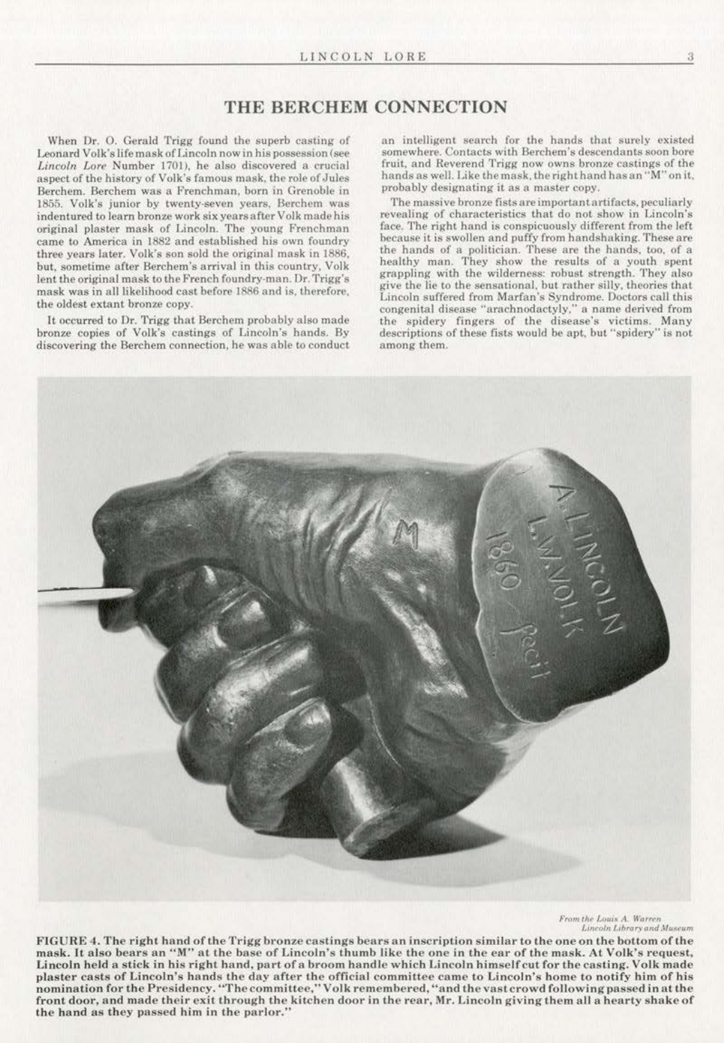## THE BERCHEM CONNECTION

When Dr. O. Gerald Trigg found the superb casting of Leonard Yolk's life mask of Lincoln now in his possession (see Lincoln Lore Number 1701), he also discovered a crucial aspect of the history of Volk's famous mask. the role of Jules Bcrchcm. Bcrchem was a Prenchman. born in Grenoble in 1855. VoJk's junior by twenty-seven years, Berchem was indentured to learn bronze work six years after Volk made his original plaster mask of Lincoln. The young Frenchman came *to* America in 1882 and established his own foundry three years later. Volk's son sold the original mask in 1886, but, sometime after Berchem's arrival in this country, Volk lent the original mask to the French foundry-man. Dr. Trigg's mask was in all likelihood cast before 1886 and is, therefore, the oldest extant bronze copy.

It occurred to Dr. Trigg that Berchem probably also made bronze copies of Volk's castings of Lincoln's hands. By discovering the Berchem connection, he was able to conduct an intelligent search for the hands that surely existed somewhere. Contacts with Berchem's descendants soon bore fruit, and Reverend Trigg now owns bronze castings of the hands as well. Like the mask, the right hand has an "M" on it, probably designating it as a masler copy.

The massive bronze fists are important artifacts, peculiarly revealing of characteristics that do not show in Lincoln's face. The right hand is conspicuously different from the left because it is swollen and puffy from handshaking. These are the hands of a politician. These are the hands. too. of a healthy man. They show the results of a youth spent grappling with the wilderness: robust strength. They also give the lie to the sensational, but rather silly, theories that Lincoln suffered from Marfan's Syndrome. Doctors call this congenital disease ·'arachnodactyly." a name derived from the spidery fingers of the disease's victims. Many descriptions of these fists would be apt, but "spidery" is not among them.



*From the Louis A. Warren*  $Lincoh$ *Library* and Museum

FIGURE 4. The right hand of the Trigg bronze castings bears an inscription similar to the one on the bottom of the mask. It also bears an ''M" at the base of Lincoln's thumb like the one in the ear of the mask. At Volk's request. Lincoln held a stick in his right hand, part of a broom handle which Lincoln himself cut for the casting. Volk made plaster casts of Lincoln's hands the day after the official committee came to Lincoln's home to notify him of his nomination for the Presidency. "The committee," Volk remembered, "and the vast crowd following passed in at the front door, and made their exit through the kitchen door in the rear, Mr. Lincoln giving them all a hearty shake of the hand as they passed him in the parlor.'